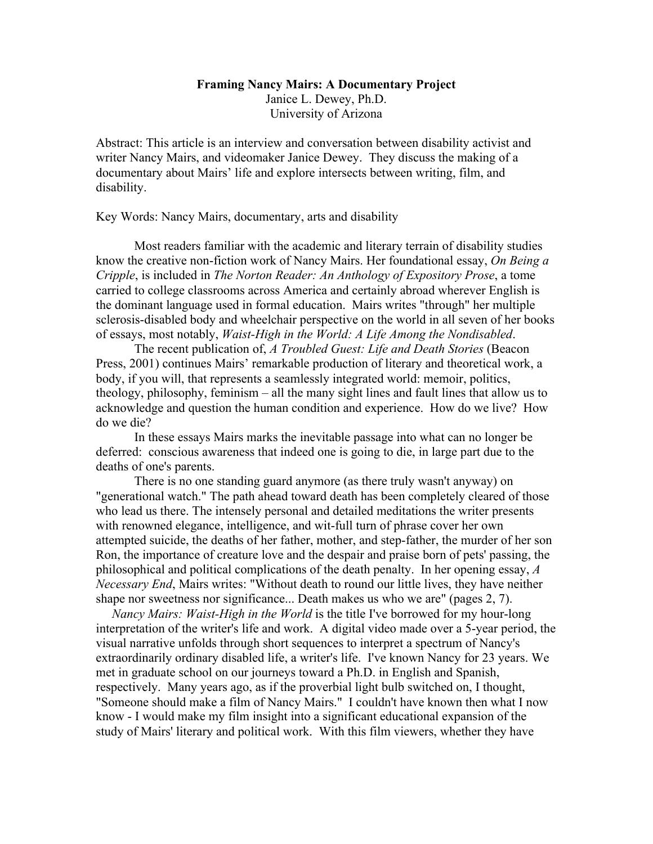## **Framing Nancy Mairs: A Documentary Project** Janice L. Dewey, Ph.D. University of Arizona

Abstract: This article is an interview and conversation between disability activist and writer Nancy Mairs, and videomaker Janice Dewey. They discuss the making of a documentary about Mairs' life and explore intersects between writing, film, and disability.

Key Words: Nancy Mairs, documentary, arts and disability

Most readers familiar with the academic and literary terrain of disability studies know the creative non-fiction work of Nancy Mairs. Her foundational essay, *On Being a Cripple*, is included in *The Norton Reader: An Anthology of Expository Prose*, a tome carried to college classrooms across America and certainly abroad wherever English is the dominant language used in formal education. Mairs writes "through" her multiple sclerosis-disabled body and wheelchair perspective on the world in all seven of her books of essays, most notably, *Waist-High in the World: A Life Among the Nondisabled*.

The recent publication of, *A Troubled Guest: Life and Death Stories* (Beacon Press, 2001) continues Mairs' remarkable production of literary and theoretical work, a body, if you will, that represents a seamlessly integrated world: memoir, politics, theology, philosophy, feminism – all the many sight lines and fault lines that allow us to acknowledge and question the human condition and experience. How do we live? How do we die?

In these essays Mairs marks the inevitable passage into what can no longer be deferred: conscious awareness that indeed one is going to die, in large part due to the deaths of one's parents.

There is no one standing guard anymore (as there truly wasn't anyway) on "generational watch." The path ahead toward death has been completely cleared of those who lead us there. The intensely personal and detailed meditations the writer presents with renowned elegance, intelligence, and wit-full turn of phrase cover her own attempted suicide, the deaths of her father, mother, and step-father, the murder of her son Ron, the importance of creature love and the despair and praise born of pets' passing, the philosophical and political complications of the death penalty. In her opening essay, *A Necessary End*, Mairs writes: "Without death to round our little lives, they have neither shape nor sweetness nor significance... Death makes us who we are" (pages 2, 7).

 *Nancy Mairs: Waist-High in the World* is the title I've borrowed for my hour-long interpretation of the writer's life and work. A digital video made over a 5-year period, the visual narrative unfolds through short sequences to interpret a spectrum of Nancy's extraordinarily ordinary disabled life, a writer's life. I've known Nancy for 23 years. We met in graduate school on our journeys toward a Ph.D. in English and Spanish, respectively. Many years ago, as if the proverbial light bulb switched on, I thought, "Someone should make a film of Nancy Mairs." I couldn't have known then what I now know - I would make my film insight into a significant educational expansion of the study of Mairs' literary and political work. With this film viewers, whether they have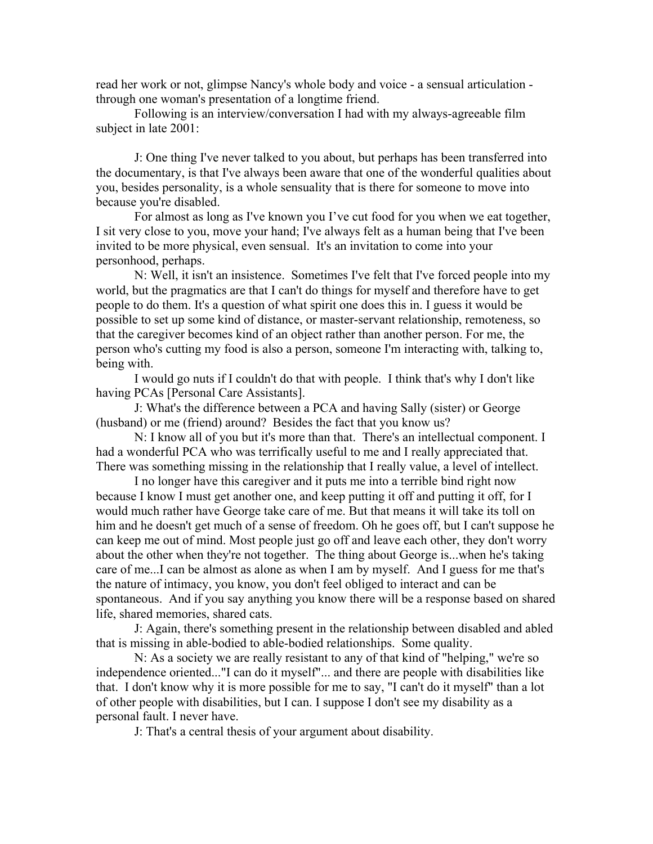read her work or not, glimpse Nancy's whole body and voice - a sensual articulation through one woman's presentation of a longtime friend.

Following is an interview/conversation I had with my always-agreeable film subject in late 2001:

J: One thing I've never talked to you about, but perhaps has been transferred into the documentary, is that I've always been aware that one of the wonderful qualities about you, besides personality, is a whole sensuality that is there for someone to move into because you're disabled.

For almost as long as I've known you I've cut food for you when we eat together, I sit very close to you, move your hand; I've always felt as a human being that I've been invited to be more physical, even sensual. It's an invitation to come into your personhood, perhaps.

N: Well, it isn't an insistence. Sometimes I've felt that I've forced people into my world, but the pragmatics are that I can't do things for myself and therefore have to get people to do them. It's a question of what spirit one does this in. I guess it would be possible to set up some kind of distance, or master-servant relationship, remoteness, so that the caregiver becomes kind of an object rather than another person. For me, the person who's cutting my food is also a person, someone I'm interacting with, talking to, being with.

I would go nuts if I couldn't do that with people. I think that's why I don't like having PCAs [Personal Care Assistants].

J: What's the difference between a PCA and having Sally (sister) or George (husband) or me (friend) around? Besides the fact that you know us?

N: I know all of you but it's more than that. There's an intellectual component. I had a wonderful PCA who was terrifically useful to me and I really appreciated that. There was something missing in the relationship that I really value, a level of intellect.

I no longer have this caregiver and it puts me into a terrible bind right now because I know I must get another one, and keep putting it off and putting it off, for I would much rather have George take care of me. But that means it will take its toll on him and he doesn't get much of a sense of freedom. Oh he goes off, but I can't suppose he can keep me out of mind. Most people just go off and leave each other, they don't worry about the other when they're not together. The thing about George is...when he's taking care of me...I can be almost as alone as when I am by myself. And I guess for me that's the nature of intimacy, you know, you don't feel obliged to interact and can be spontaneous. And if you say anything you know there will be a response based on shared life, shared memories, shared cats.

J: Again, there's something present in the relationship between disabled and abled that is missing in able-bodied to able-bodied relationships. Some quality.

N: As a society we are really resistant to any of that kind of "helping," we're so independence oriented..."I can do it myself"... and there are people with disabilities like that. I don't know why it is more possible for me to say, "I can't do it myself" than a lot of other people with disabilities, but I can. I suppose I don't see my disability as a personal fault. I never have.

J: That's a central thesis of your argument about disability.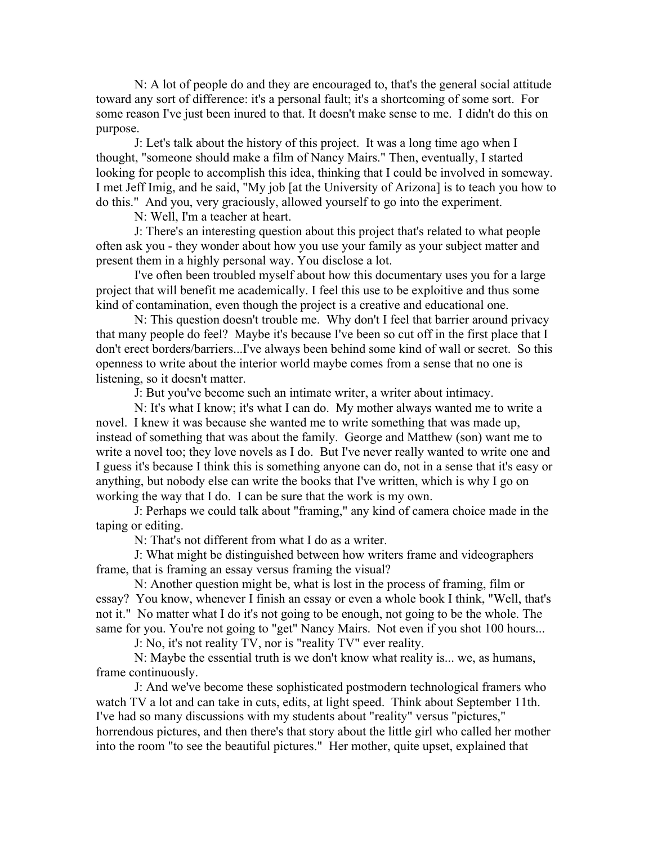N: A lot of people do and they are encouraged to, that's the general social attitude toward any sort of difference: it's a personal fault; it's a shortcoming of some sort. For some reason I've just been inured to that. It doesn't make sense to me. I didn't do this on purpose.

J: Let's talk about the history of this project. It was a long time ago when I thought, "someone should make a film of Nancy Mairs." Then, eventually, I started looking for people to accomplish this idea, thinking that I could be involved in someway. I met Jeff Imig, and he said, "My job [at the University of Arizona] is to teach you how to do this." And you, very graciously, allowed yourself to go into the experiment.

N: Well, I'm a teacher at heart.

J: There's an interesting question about this project that's related to what people often ask you - they wonder about how you use your family as your subject matter and present them in a highly personal way. You disclose a lot.

I've often been troubled myself about how this documentary uses you for a large project that will benefit me academically. I feel this use to be exploitive and thus some kind of contamination, even though the project is a creative and educational one.

N: This question doesn't trouble me. Why don't I feel that barrier around privacy that many people do feel? Maybe it's because I've been so cut off in the first place that I don't erect borders/barriers...I've always been behind some kind of wall or secret. So this openness to write about the interior world maybe comes from a sense that no one is listening, so it doesn't matter.

J: But you've become such an intimate writer, a writer about intimacy.

N: It's what I know; it's what I can do. My mother always wanted me to write a novel. I knew it was because she wanted me to write something that was made up, instead of something that was about the family. George and Matthew (son) want me to write a novel too; they love novels as I do. But I've never really wanted to write one and I guess it's because I think this is something anyone can do, not in a sense that it's easy or anything, but nobody else can write the books that I've written, which is why I go on working the way that I do. I can be sure that the work is my own.

J: Perhaps we could talk about "framing," any kind of camera choice made in the taping or editing.

N: That's not different from what I do as a writer.

J: What might be distinguished between how writers frame and videographers frame, that is framing an essay versus framing the visual?

N: Another question might be, what is lost in the process of framing, film or essay? You know, whenever I finish an essay or even a whole book I think, "Well, that's not it." No matter what I do it's not going to be enough, not going to be the whole. The same for you. You're not going to "get" Nancy Mairs. Not even if you shot 100 hours...

J: No, it's not reality TV, nor is "reality TV" ever reality.

N: Maybe the essential truth is we don't know what reality is... we, as humans, frame continuously.

J: And we've become these sophisticated postmodern technological framers who watch TV a lot and can take in cuts, edits, at light speed. Think about September 11th. I've had so many discussions with my students about "reality" versus "pictures," horrendous pictures, and then there's that story about the little girl who called her mother into the room "to see the beautiful pictures." Her mother, quite upset, explained that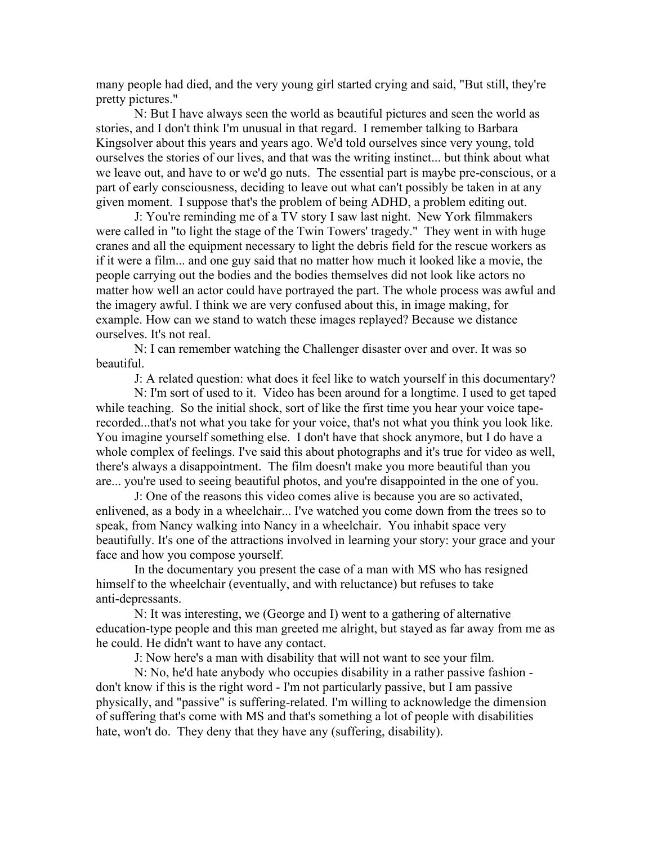many people had died, and the very young girl started crying and said, "But still, they're pretty pictures."

N: But I have always seen the world as beautiful pictures and seen the world as stories, and I don't think I'm unusual in that regard. I remember talking to Barbara Kingsolver about this years and years ago. We'd told ourselves since very young, told ourselves the stories of our lives, and that was the writing instinct... but think about what we leave out, and have to or we'd go nuts. The essential part is maybe pre-conscious, or a part of early consciousness, deciding to leave out what can't possibly be taken in at any given moment. I suppose that's the problem of being ADHD, a problem editing out.

J: You're reminding me of a TV story I saw last night. New York filmmakers were called in "to light the stage of the Twin Towers' tragedy." They went in with huge cranes and all the equipment necessary to light the debris field for the rescue workers as if it were a film... and one guy said that no matter how much it looked like a movie, the people carrying out the bodies and the bodies themselves did not look like actors no matter how well an actor could have portrayed the part. The whole process was awful and the imagery awful. I think we are very confused about this, in image making, for example. How can we stand to watch these images replayed? Because we distance ourselves. It's not real.

N: I can remember watching the Challenger disaster over and over. It was so beautiful.

J: A related question: what does it feel like to watch yourself in this documentary?

N: I'm sort of used to it. Video has been around for a longtime. I used to get taped while teaching. So the initial shock, sort of like the first time you hear your voice taperecorded...that's not what you take for your voice, that's not what you think you look like. You imagine yourself something else. I don't have that shock anymore, but I do have a whole complex of feelings. I've said this about photographs and it's true for video as well, there's always a disappointment. The film doesn't make you more beautiful than you are... you're used to seeing beautiful photos, and you're disappointed in the one of you.

J: One of the reasons this video comes alive is because you are so activated, enlivened, as a body in a wheelchair... I've watched you come down from the trees so to speak, from Nancy walking into Nancy in a wheelchair. You inhabit space very beautifully. It's one of the attractions involved in learning your story: your grace and your face and how you compose yourself.

In the documentary you present the case of a man with MS who has resigned himself to the wheelchair (eventually, and with reluctance) but refuses to take anti-depressants.

N: It was interesting, we (George and I) went to a gathering of alternative education-type people and this man greeted me alright, but stayed as far away from me as he could. He didn't want to have any contact.

J: Now here's a man with disability that will not want to see your film.

N: No, he'd hate anybody who occupies disability in a rather passive fashion don't know if this is the right word - I'm not particularly passive, but I am passive physically, and "passive" is suffering-related. I'm willing to acknowledge the dimension of suffering that's come with MS and that's something a lot of people with disabilities hate, won't do. They deny that they have any (suffering, disability).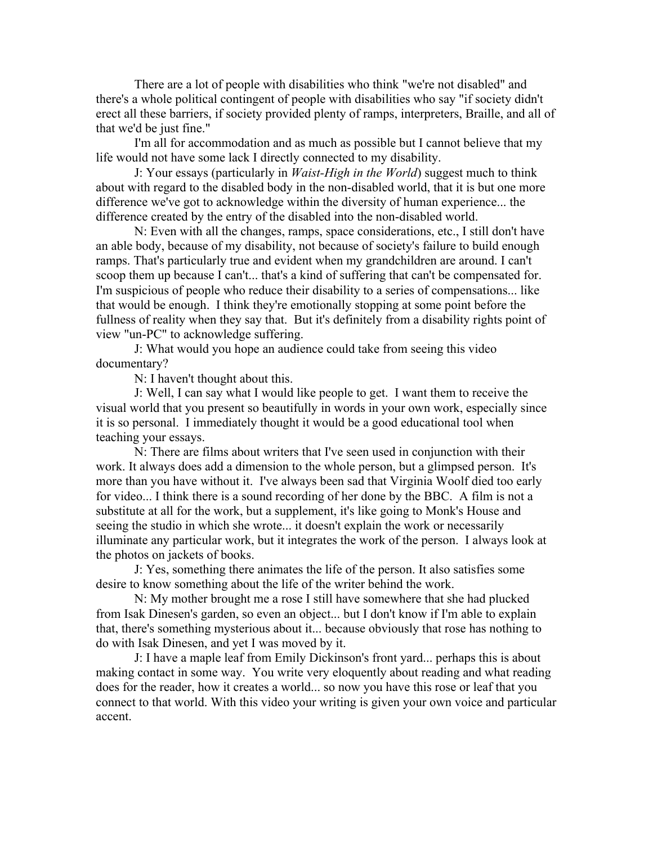There are a lot of people with disabilities who think "we're not disabled" and there's a whole political contingent of people with disabilities who say "if society didn't erect all these barriers, if society provided plenty of ramps, interpreters, Braille, and all of that we'd be just fine."

I'm all for accommodation and as much as possible but I cannot believe that my life would not have some lack I directly connected to my disability.

J: Your essays (particularly in *Waist-High in the World*) suggest much to think about with regard to the disabled body in the non-disabled world, that it is but one more difference we've got to acknowledge within the diversity of human experience... the difference created by the entry of the disabled into the non-disabled world.

N: Even with all the changes, ramps, space considerations, etc., I still don't have an able body, because of my disability, not because of society's failure to build enough ramps. That's particularly true and evident when my grandchildren are around. I can't scoop them up because I can't... that's a kind of suffering that can't be compensated for. I'm suspicious of people who reduce their disability to a series of compensations... like that would be enough. I think they're emotionally stopping at some point before the fullness of reality when they say that. But it's definitely from a disability rights point of view "un-PC" to acknowledge suffering.

J: What would you hope an audience could take from seeing this video documentary?

N: I haven't thought about this.

J: Well, I can say what I would like people to get. I want them to receive the visual world that you present so beautifully in words in your own work, especially since it is so personal. I immediately thought it would be a good educational tool when teaching your essays.

N: There are films about writers that I've seen used in conjunction with their work. It always does add a dimension to the whole person, but a glimpsed person. It's more than you have without it. I've always been sad that Virginia Woolf died too early for video... I think there is a sound recording of her done by the BBC. A film is not a substitute at all for the work, but a supplement, it's like going to Monk's House and seeing the studio in which she wrote... it doesn't explain the work or necessarily illuminate any particular work, but it integrates the work of the person. I always look at the photos on jackets of books.

J: Yes, something there animates the life of the person. It also satisfies some desire to know something about the life of the writer behind the work.

N: My mother brought me a rose I still have somewhere that she had plucked from Isak Dinesen's garden, so even an object... but I don't know if I'm able to explain that, there's something mysterious about it... because obviously that rose has nothing to do with Isak Dinesen, and yet I was moved by it.

J: I have a maple leaf from Emily Dickinson's front yard... perhaps this is about making contact in some way. You write very eloquently about reading and what reading does for the reader, how it creates a world... so now you have this rose or leaf that you connect to that world. With this video your writing is given your own voice and particular accent.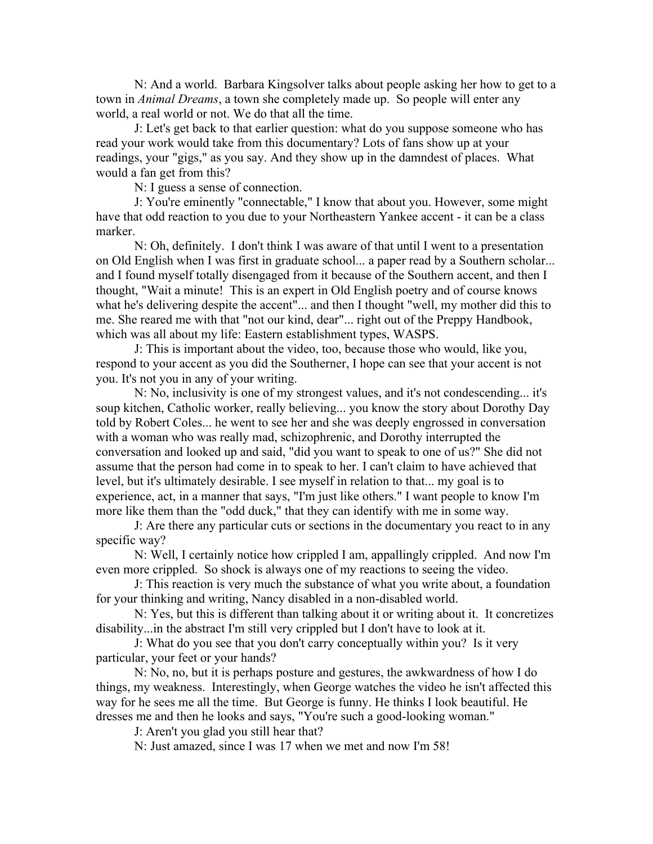N: And a world. Barbara Kingsolver talks about people asking her how to get to a town in *Animal Dreams*, a town she completely made up. So people will enter any world, a real world or not. We do that all the time.

J: Let's get back to that earlier question: what do you suppose someone who has read your work would take from this documentary? Lots of fans show up at your readings, your "gigs," as you say. And they show up in the damndest of places. What would a fan get from this?

N: I guess a sense of connection.

J: You're eminently "connectable," I know that about you. However, some might have that odd reaction to you due to your Northeastern Yankee accent - it can be a class marker.

N: Oh, definitely. I don't think I was aware of that until I went to a presentation on Old English when I was first in graduate school... a paper read by a Southern scholar... and I found myself totally disengaged from it because of the Southern accent, and then I thought, "Wait a minute! This is an expert in Old English poetry and of course knows what he's delivering despite the accent"... and then I thought "well, my mother did this to me. She reared me with that "not our kind, dear"... right out of the Preppy Handbook, which was all about my life: Eastern establishment types, WASPS.

J: This is important about the video, too, because those who would, like you, respond to your accent as you did the Southerner, I hope can see that your accent is not you. It's not you in any of your writing.

N: No, inclusivity is one of my strongest values, and it's not condescending... it's soup kitchen, Catholic worker, really believing... you know the story about Dorothy Day told by Robert Coles... he went to see her and she was deeply engrossed in conversation with a woman who was really mad, schizophrenic, and Dorothy interrupted the conversation and looked up and said, "did you want to speak to one of us?" She did not assume that the person had come in to speak to her. I can't claim to have achieved that level, but it's ultimately desirable. I see myself in relation to that... my goal is to experience, act, in a manner that says, "I'm just like others." I want people to know I'm more like them than the "odd duck," that they can identify with me in some way.

J: Are there any particular cuts or sections in the documentary you react to in any specific way?

N: Well, I certainly notice how crippled I am, appallingly crippled. And now I'm even more crippled. So shock is always one of my reactions to seeing the video.

J: This reaction is very much the substance of what you write about, a foundation for your thinking and writing, Nancy disabled in a non-disabled world.

N: Yes, but this is different than talking about it or writing about it. It concretizes disability...in the abstract I'm still very crippled but I don't have to look at it.

J: What do you see that you don't carry conceptually within you? Is it very particular, your feet or your hands?

N: No, no, but it is perhaps posture and gestures, the awkwardness of how I do things, my weakness. Interestingly, when George watches the video he isn't affected this way for he sees me all the time. But George is funny. He thinks I look beautiful. He dresses me and then he looks and says, "You're such a good-looking woman."

J: Aren't you glad you still hear that?

N: Just amazed, since I was 17 when we met and now I'm 58!